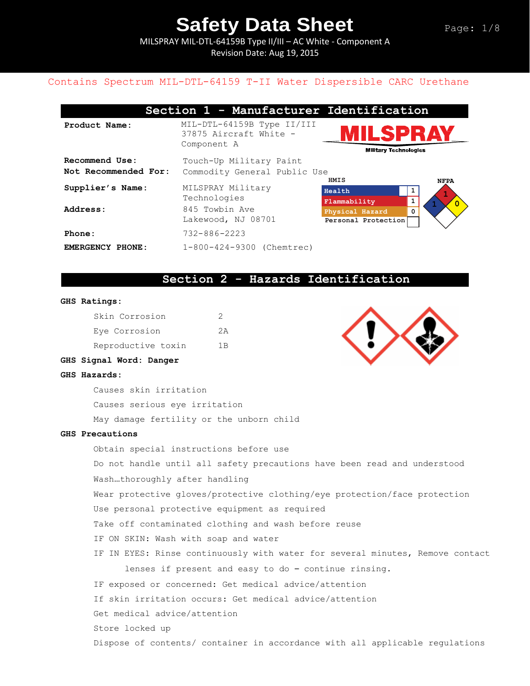MILSPRAY MIL-DTL-64159B Type II/III – AC White - Component A Revision Date: Aug 19, 2015

## Contains Spectrum MIL-DTL-64159 T-II Water Dispersible CARC Urethane

|                                        | Section 1 - Manufacturer Identification                             |                                                |                       |
|----------------------------------------|---------------------------------------------------------------------|------------------------------------------------|-----------------------|
| Product Name:                          | MIL-DTL-64159B Type II/III<br>37875 Aircraft White -<br>Component A | <b>ILSPRAY</b><br><b>Military Technologies</b> |                       |
| Recommend Use:<br>Not Recommended For: | Touch-Up Military Paint<br>Commodity General Public Use             |                                                |                       |
| Supplier's Name:                       | MILSPRAY Military<br>Technologies                                   | HMIS<br>Health<br>Flammability                 | <b>NFPA</b><br>1<br>1 |
| Address:                               | 845 Towbin Ave<br>Lakewood, NJ 08701                                | Physical Hazard<br>Personal Protection         | $\overline{0}$<br>0   |
| Phone:                                 | $732 - 886 - 2223$                                                  |                                                |                       |
| EMERGENCY PHONE:                       | 1-800-424-9300 (Chemtrec)                                           |                                                |                       |

### **Section 2 - Hazards Identification**

#### **GHS Ratings:**

| Skin Corrosion     |     |
|--------------------|-----|
| Eye Corrosion      | クA  |
| Reproductive toxin | 1 B |



### **GHS Signal Word: Danger**

#### **GHS Hazards:**

Causes skin irritation

Causes serious eye irritation

May damage fertility or the unborn child

### **GHS Precautions**

Obtain special instructions before use Do not handle until all safety precautions have been read and understood Wash…thoroughly after handling Wear protective gloves/protective clothing/eye protection/face protection Use personal protective equipment as required Take off contaminated clothing and wash before reuse IF ON SKIN: Wash with soap and water IF IN EYES: Rinse continuously with water for several minutes, Remove contact lenses if present and easy to do – continue rinsing. IF exposed or concerned: Get medical advice/attention If skin irritation occurs: Get medical advice/attention Get medical advice/attention Store locked up Dispose of contents/ container in accordance with all applicable regulations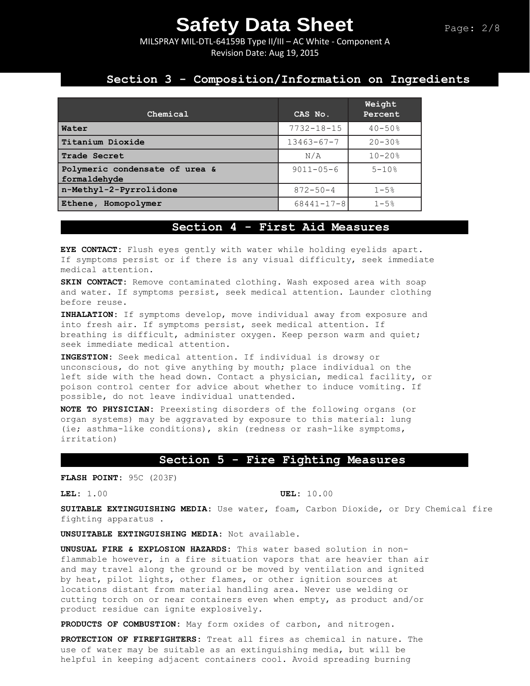MILSPRAY MIL-DTL-64159B Type II/III – AC White - Component A Revision Date: Aug 19, 2015

## **Section 3 - Composition/Information on Ingredients**

| Chemical                                       | CAS No.          | Weight<br>Percent      |
|------------------------------------------------|------------------|------------------------|
| Water                                          | $7732 - 18 - 15$ | $40 - 50%$             |
| Titanium Dioxide                               | $13463 - 67 - 7$ | $20 - 30%$             |
| Trade Secret                                   | N/A              | $10 - 20$ <sup>8</sup> |
| Polymeric condensate of urea &<br>formaldehyde | $9011 - 05 - 6$  | $5 - 10$ %             |
| n-Methyl-2-Pyrrolidone                         | $872 - 50 - 4$   | $1 - 5%$               |
| Ethene, Homopolymer                            | $68441 - 17 - 8$ | $1 - 5$ $\approx$      |

## **Section 4 - First Aid Measures**

**EYE CONTACT:** Flush eyes gently with water while holding eyelids apart. If symptoms persist or if there is any visual difficulty, seek immediate medical attention.

**SKIN CONTACT:** Remove contaminated clothing. Wash exposed area with soap and water. If symptoms persist, seek medical attention. Launder clothing before reuse.

**INHALATION:** If symptoms develop, move individual away from exposure and into fresh air. If symptoms persist, seek medical attention. If breathing is difficult, administer oxygen. Keep person warm and quiet; seek immediate medical attention.

**INGESTION:** Seek medical attention. If individual is drowsy or unconscious, do not give anything by mouth; place individual on the left side with the head down. Contact a physician, medical facility, or poison control center for advice about whether to induce vomiting. If possible, do not leave individual unattended.

**NOTE TO PHYSICIAN:** Preexisting disorders of the following organs (or organ systems) may be aggravated by exposure to this material: lung (ie; asthma-like conditions), skin (redness or rash-like symptoms, irritation)

## **Section 5 - Fire Fighting Measures**

**FLASH POINT:** 95C (203F)

**LEL:** 1.00 **UEL:** 10.00

**SUITABLE EXTINGUISHING MEDIA:** Use water, foam, Carbon Dioxide, or Dry Chemical fire fighting apparatus .

**UNSUITABLE EXTINGUISHING MEDIA:** Not available.

**UNUSUAL FIRE & EXPLOSION HAZARDS:** This water based solution in nonflammable however, in a fire situation vapors that are heavier than air and may travel along the ground or be moved by ventilation and ignited by heat, pilot lights, other flames, or other ignition sources at locations distant from material handling area. Never use welding or cutting torch on or near containers even when empty, as product and/or product residue can ignite explosively.

**PRODUCTS OF COMBUSTION:** May form oxides of carbon, and nitrogen.

**PROTECTION OF FIREFIGHTERS:** Treat all fires as chemical in nature. The use of water may be suitable as an extinguishing media, but will be helpful in keeping adjacent containers cool. Avoid spreading burning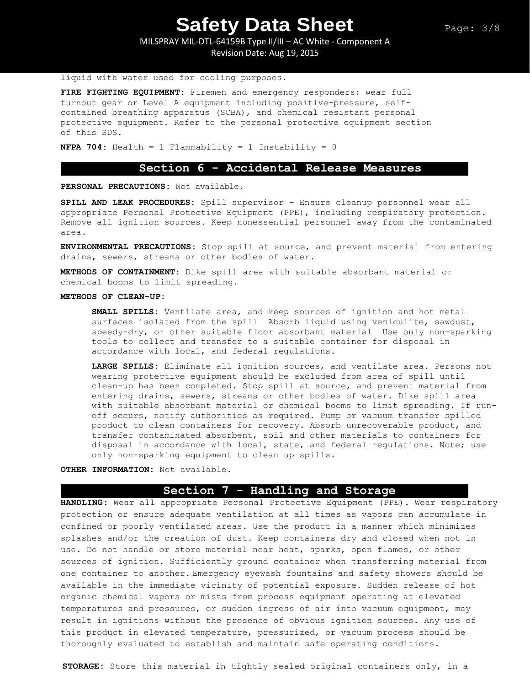MILSPRAY MIL-DTL-64159B Type II/III – AC White - Component A Revision Date: Aug 19, 2015

#### liquid with water used for cooling purposes.

**FIRE FIGHTING EQUIPMENT:** Firemen and emergency responders: wear full turnout gear or Level A equipment including positive-pressure, selfcontained breathing apparatus (SCBA), and chemical resistant personal protective equipment. Refer to the personal protective equipment section of this SDS.

**NFPA 704:** Health = 1 Flammability = 1 Instability = 0

## **Section 6 - Accidental Release Measures**

**PERSONAL PRECAUTIONS:** Not available.

**SPILL AND LEAK PROCEDURES:** Spill supervisor - Ensure cleanup personnel wear all appropriate Personal Protective Equipment (PPE), including respiratory protection. Remove all ignition sources. Keep nonessential personnel away from the contaminated area.

**ENVIRONMENTAL PRECAUTIONS:** Stop spill at source, and prevent material from entering drains, sewers, streams or other bodies of water.

**METHODS OF CONTAINMENT:** Dike spill area with suitable absorbant material or chemical booms to limit spreading.

#### **METHODS OF CLEAN-UP:**

**SMALL SPILLS:** Ventilate area, and keep sources of ignition and hot metal surfaces isolated from the spill Absorb liquid using vemiculite, sawdust, speedy-dry, or other suitable floor absorbant material Use only non-sparking tools to collect and transfer to a suitable container for disposal in accordance with local, and federal regulations.

**LARGE SPILLS:** Eliminate all ignition sources, and ventilate area. Persons not wearing protective equipment should be excluded from area of spill until clean-up has been completed. Stop spill at source, and prevent material from entering drains, sewers, streams or other bodies of water. Dike spill area with suitable absorbant material or chemical booms to limit spreading. If runoff occurs, notify authorities as required. Pump or vacuum transfer spilled product to clean containers for recovery. Absorb unrecoverable product, and transfer contaminated absorbent, soil and other materials to containers for disposal in accordance with local, state, and federal regulations. Note; use only non-sparking equipment to clean up spills.

#### **OTHER INFORMATION:** Not available.

### **Section 7 - Handling and Storage**

**HANDLING**: Wear all appropriate Personal Protective Equipment (PPE). Wear respiratory protection or ensure adequate ventilation at all times as vapors can accumulate in confined or poorly ventilated areas. Use the product in a manner which minimizes splashes and/or the creation of dust. Keep containers dry and closed when not in use. Do not handle or store material near heat, sparks, open flames, or other sources of ignition. Sufficiently ground container when transferring material from one container to another. Emergency eyewash fountains and safety showers should be available in the immediate vicinity of potential exposure. Sudden release of hot organic chemical vapors or mists from process equipment operating at elevated temperatures and pressures, or sudden ingress of air into vacuum equipment, may result in ignitions without the presence of obvious ignition sources. Any use of this product in elevated temperature, pressurized, or vacuum process should be thoroughly evaluated to establish and maintain safe operating conditions.

**STORAGE:** Store this material in tightly sealed original containers only, in a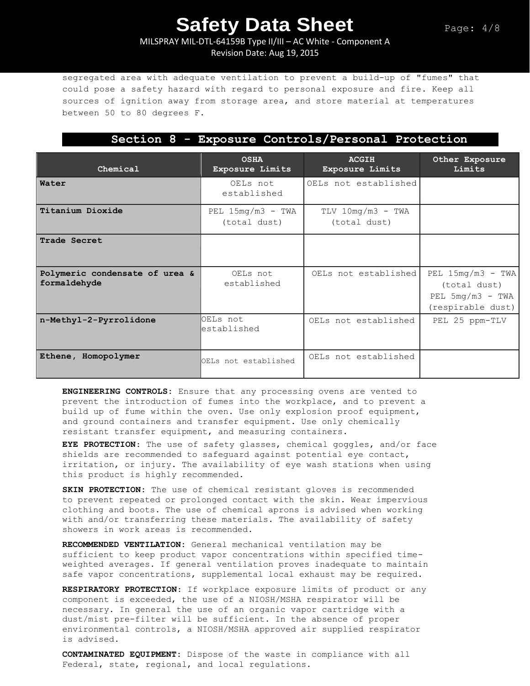## MILSPRAY MIL-DTL-64159B Type II/III – AC White - Component A Revision Date: Aug 19, 2015

segregated area with adequate ventilation to prevent a build-up of "fumes" that could pose a safety hazard with regard to personal exposure and fire. Keep all sources of ignition away from storage area, and store material at temperatures between 50 to 80 degrees F.

## **Section 8 - Exposure Controls/Personal Protection**

| Chemical                                       | <b>OSHA</b><br>Exposure Limits      | <b>ACGIH</b><br>Exposure Limits     | Other Exposure<br>Limits,                                                      |
|------------------------------------------------|-------------------------------------|-------------------------------------|--------------------------------------------------------------------------------|
| Water                                          | OELs not<br>established             | OELs not established                |                                                                                |
| Titanium Dioxide                               | PEL $15mg/m3$ - TWA<br>(total dust) | $TLV$ 10mg/m3 - TWA<br>(total dust) |                                                                                |
| Trade Secret                                   |                                     |                                     |                                                                                |
| Polymeric condensate of urea &<br>formaldehyde | OELs not<br>established             | OELs not established                | PEL $15mg/m3$ - TWA<br>(total dust)<br>PEL $5mg/m3$ - TWA<br>(respirable dust) |
| n-Methyl-2-Pyrrolidone                         | OELs not<br>established             | OELs not established                | PEL 25 ppm-TLV                                                                 |
| Ethene, Homopolymer                            | OELs not established                | OELs not established                |                                                                                |

**ENGINEERING CONTROLS:** Ensure that any processing ovens are vented to prevent the introduction of fumes into the workplace, and to prevent a build up of fume within the oven. Use only explosion proof equipment, and ground containers and transfer equipment. Use only chemically resistant transfer equipment, and measuring containers.

**EYE PROTECTION**: The use of safety glasses, chemical goggles, and/or face shields are recommended to safeguard against potential eye contact, irritation, or injury. The availability of eye wash stations when using this product is highly recommended.

**SKIN PROTECTION:** The use of chemical resistant gloves is recommended to prevent repeated or prolonged contact with the skin. Wear impervious clothing and boots. The use of chemical aprons is advised when working with and/or transferring these materials. The availability of safety showers in work areas is recommended**.** 

**RECOMMENDED VENTILATION:** General mechanical ventilation may be sufficient to keep product vapor concentrations within specified timeweighted averages. If general ventilation proves inadequate to maintain safe vapor concentrations, supplemental local exhaust may be required.

**RESPIRATORY PROTECTION**: If workplace exposure limits of product or any component is exceeded, the use of a NIOSH/MSHA respirator will be necessary. In general the use of an organic vapor cartridge with a dust/mist pre-filter will be sufficient. In the absence of proper environmental controls, a NIOSH/MSHA approved air supplied respirator is advised.

**CONTAMINATED EQUIPMENT:** Dispose of the waste in compliance with all Federal, state, regional, and local regulations.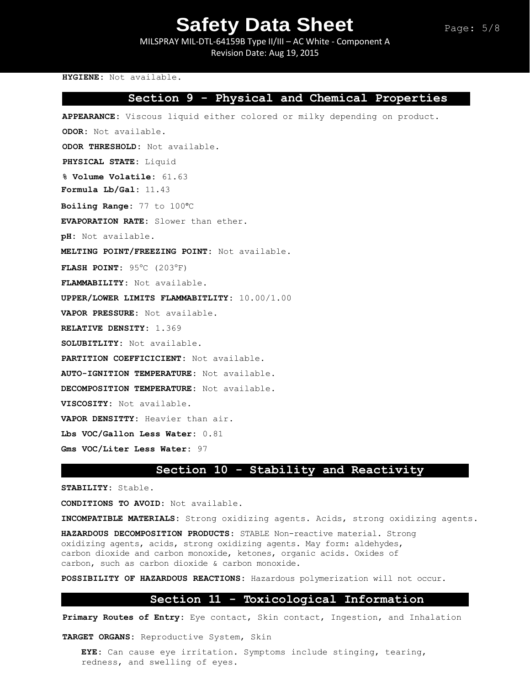MILSPRAY MIL-DTL-64159B Type II/III – AC White - Component A Revision Date: Aug 19, 2015

#### **HYGIENE:** Not available.

## **Section 9 - Physical and Chemical Properties**

**APPEARANCE:** Viscous liquid either colored or milky depending on product.

**ODOR:** Not available.

**ODOR THRESHOLD:** Not available.

**PHYSICAL STATE:** Liquid

**% Volume Volatile:** 61.63

**Formula Lb/Gal:** 11.43

**Boiling Range:** 77 to 100°C

**EVAPORATION RATE:** Slower than ether.

**pH:** Not available.

**MELTING POINT/FREEZING POINT:** Not available.

**FLASH POINT: 95°C (203°F)** 

**FLAMMABILITY:** Not available.

**UPPER/LOWER LIMITS FLAMMABITLITY:** 10.00/1.00

**VAPOR PRESSURE:** Not available.

**RELATIVE DENSITY:** 1.369

**SOLUBITLITY:** Not available.

**PARTITION COEFFICICIENT:** Not available.

**AUTO-IGNITION TEMPERATURE:** Not available.

**DECOMPOSITION TEMPERATURE:** Not available.

**VISCOSITY:** Not available.

**VAPOR DENSITTY:** Heavier than air.

**Lbs VOC/Gallon Less Water:** 0.81

**Gms VOC/Liter Less Water:** 97

### **Section 10 - Stability and Reactivity**

**STABILITY:** Stable.

**CONDITIONS TO AVOID:** Not available.

**INCOMPATIBLE MATERIALS:** Strong oxidizing agents. Acids, strong oxidizing agents.

**HAZARDOUS DECOMPOSITION PRODUCTS:** STABLE Non-reactive material. Strong oxidizing agents, acids, strong oxidizing agents. May form: aldehydes, carbon dioxide and carbon monoxide, ketones, organic acids. Oxides of carbon, such as carbon dioxide & carbon monoxide.

**POSSIBILITY OF HAZARDOUS REACTIONS:** Hazardous polymerization will not occur.

### **Section 11 - Toxicological Information**

**Primary Routes of Entry:** Eye contact, Skin contact, Ingestion, and Inhalation

**TARGET ORGANS:** Reproductive System, Skin

**EYE:** Can cause eye irritation. Symptoms include stinging, tearing, redness, and swelling of eyes.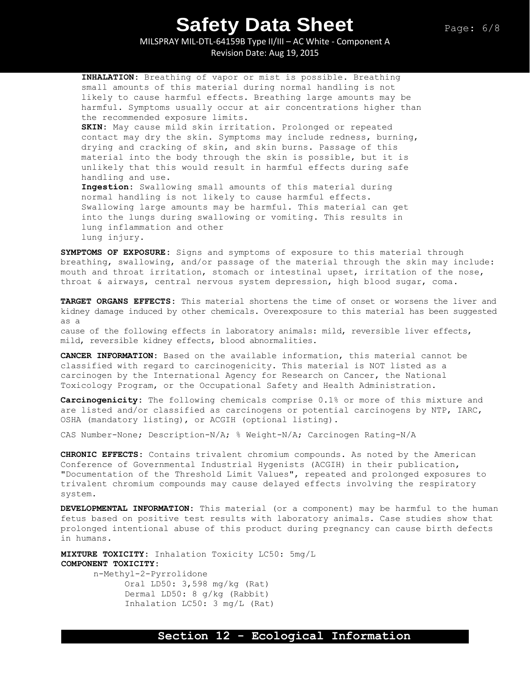MILSPRAY MIL-DTL-64159B Type II/III – AC White - Component A Revision Date: Aug 19, 2015

**INHALATION:** Breathing of vapor or mist is possible. Breathing small amounts of this material during normal handling is not likely to cause harmful effects. Breathing large amounts may be harmful. Symptoms usually occur at air concentrations higher than the recommended exposure limits. **SKIN:** May cause mild skin irritation. Prolonged or repeated contact may dry the skin. Symptoms may include redness, burning, drying and cracking of skin, and skin burns. Passage of this material into the body through the skin is possible, but it is unlikely that this would result in harmful effects during safe handling and use. **Ingestion:** Swallowing small amounts of this material during normal handling is not likely to cause harmful effects. Swallowing large amounts may be harmful. This material can get into the lungs during swallowing or vomiting. This results in lung inflammation and other lung injury.

**SYMPTOMS OF EXPOSURE:** Signs and symptoms of exposure to this material through breathing, swallowing, and/or passage of the material through the skin may include: mouth and throat irritation, stomach or intestinal upset, irritation of the nose, throat & airways, central nervous system depression, high blood sugar, coma.

**TARGET ORGANS EFFECTS:** This material shortens the time of onset or worsens the liver and kidney damage induced by other chemicals. Overexposure to this material has been suggested as a

cause of the following effects in laboratory animals: mild, reversible liver effects, mild, reversible kidney effects, blood abnormalities.

**CANCER INFORMATION:** Based on the available information, this material cannot be classified with regard to carcinogenicity. This material is NOT listed as a carcinogen by the International Agency for Research on Cancer, the National Toxicology Program, or the Occupational Safety and Health Administration.

**Carcinogenicity:** The following chemicals comprise 0.1% or more of this mixture and are listed and/or classified as carcinogens or potential carcinogens by NTP, IARC, OSHA (mandatory listing), or ACGIH (optional listing).

CAS Number-None; Description-N/A; % Weight-N/A; Carcinogen Rating-N/A

**CHRONIC EFFECTS:** Contains trivalent chromium compounds. As noted by the American Conference of Governmental Industrial Hygenists (ACGIH) in their publication, "Documentation of the Threshold Limit Values", repeated and prolonged exposures to trivalent chromium compounds may cause delayed effects involving the respiratory system.

**DEVELOPMENTAL INFORMATION:** This material (or a component) may be harmful to the human fetus based on positive test results with laboratory animals. Case studies show that prolonged intentional abuse of this product during pregnancy can cause birth defects in humans.

**MIXTURE TOXICITY:** Inhalation Toxicity LC50: 5mg/L **COMPONENT TOXICITY:**

> n-Methyl-2-Pyrrolidone Oral LD50: 3,598 mg/kg (Rat) Dermal LD50: 8 g/kg (Rabbit) Inhalation LC50: 3 mg/L (Rat)

### **Section 12 - Ecological Information**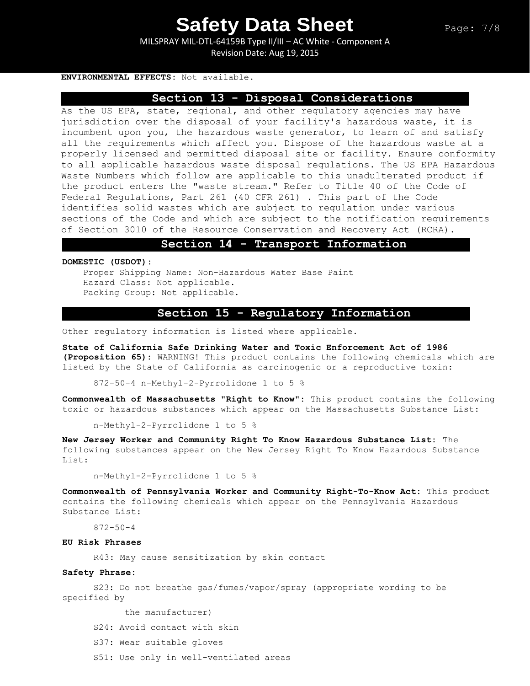MILSPRAY MIL-DTL-64159B Type II/III – AC White - Component A Revision Date: Aug 19, 2015

#### **ENVIRONMENTAL EFFECTS:** Not available.

## **Section 13 - Disposal Considerations**

As the US EPA, state, regional, and other regulatory agencies may have jurisdiction over the disposal of your facility's hazardous waste, it is incumbent upon you, the hazardous waste generator, to learn of and satisfy all the requirements which affect you. Dispose of the hazardous waste at a properly licensed and permitted disposal site or facility. Ensure conformity to all applicable hazardous waste disposal regulations. The US EPA Hazardous Waste Numbers which follow are applicable to this unadulterated product if the product enters the "waste stream." Refer to Title 40 of the Code of Federal Regulations, Part 261 (40 CFR 261) . This part of the Code identifies solid wastes which are subject to regulation under various sections of the Code and which are subject to the notification requirements of Section 3010 of the Resource Conservation and Recovery Act (RCRA).

### **Section 14 - Transport Information**

**DOMESTIC (USDOT):**

Proper Shipping Name: Non-Hazardous Water Base Paint Hazard Class: Not applicable. Packing Group: Not applicable.

## **Section 15 - Regulatory Information**

Other regulatory information is listed where applicable.

**State of California Safe Drinking Water and Toxic Enforcement Act of 1986 (Proposition 65):** WARNING! This product contains the following chemicals which are listed by the State of California as carcinogenic or a reproductive toxin:

872-50-4 n-Methyl-2-Pyrrolidone 1 to 5 %

**Commonwealth of Massachusetts "Right to Know":** This product contains the following toxic or hazardous substances which appear on the Massachusetts Substance List:

n-Methyl-2-Pyrrolidone 1 to 5 %

**New Jersey Worker and Community Right To Know Hazardous Substance List:** The following substances appear on the New Jersey Right To Know Hazardous Substance List:

n-Methyl-2-Pyrrolidone 1 to 5 %

**Commonwealth of Pennsylvania Worker and Community Right-To-Know Act:** This product contains the following chemicals which appear on the Pennsylvania Hazardous Substance List:

872-50-4

### **EU Risk Phrases**

R43: May cause sensitization by skin contact

### **Safety Phrase:**

S23: Do not breathe gas/fumes/vapor/spray (appropriate wording to be specified by

the manufacturer)

- S24: Avoid contact with skin
- S37: Wear suitable gloves
- S51: Use only in well-ventilated areas